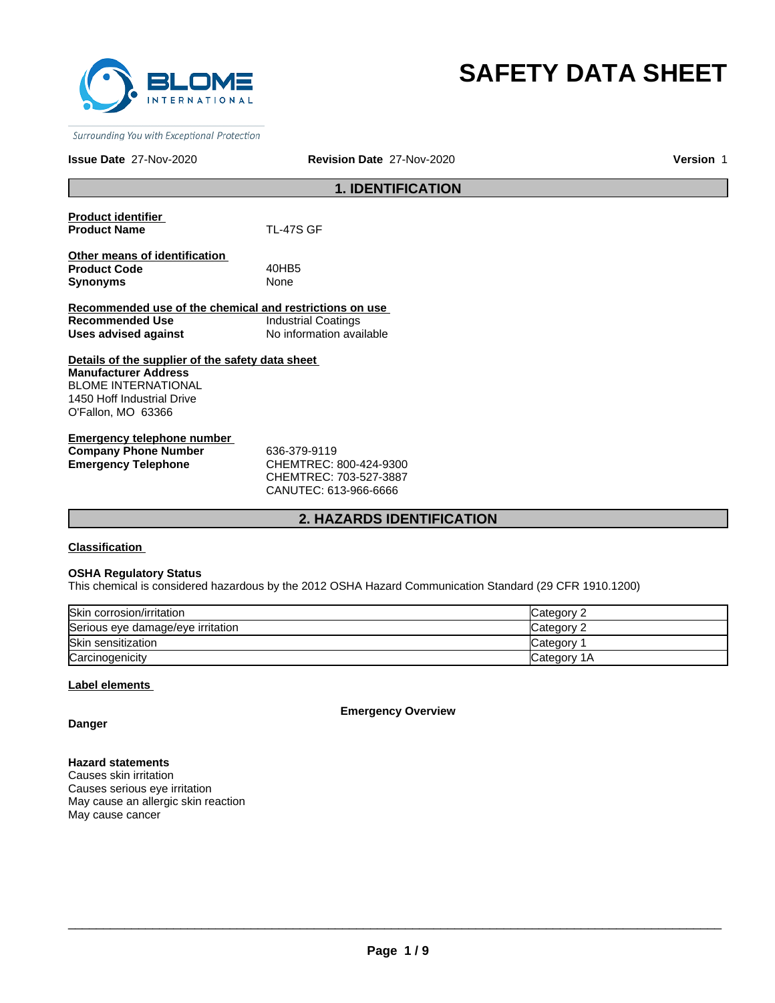

# **SAFETY DATA SHEET**

Surrounding You with Exceptional Protection

### **Issue Date** 27-Nov-2020

**Revision Date** 27-Nov-2020 **Version** 1

# **1. IDENTIFICATION**

| <b>Product identifier</b>     |                                                         |
|-------------------------------|---------------------------------------------------------|
| <b>Product Name</b>           | <b>TL-47S GF</b>                                        |
| Other means of identification |                                                         |
| <b>Product Code</b>           | 40HB5                                                   |
| <b>Synonyms</b>               | <b>None</b>                                             |
|                               | Recommended use of the chemical and restrictions on use |
|                               |                                                         |

**Request** on use **Recommended Use Industrial Coatings Uses advised against** No information available

### **Details of the supplier of the safety data sheet Manufacturer Address** BLOME INTERNATIONAL 1450 Hoff Industrial Drive O'Fallon, MO 63366

**Emergency telephone number Company Phone Number** 636-379-9119 **Emergency Telephone** CHEMTREC: 800-424-9300

CHEMTREC: 703-527-3887 CANUTEC: 613-966-6666

# **2. HAZARDS IDENTIFICATION**

### **Classification**

### **OSHA Regulatory Status**

This chemical is considered hazardous by the 2012 OSHA Hazard Communication Standard (29 CFR 1910.1200)

| Skin corrosion/irritation         | Category 2   |
|-----------------------------------|--------------|
| Serious eye damage/eye irritation | Category 2   |
| Skin sensitization                | Category     |
| Carcinogenicity                   | lCategorv 1A |

### **Label elements**

**Emergency Overview**

**Danger**

**Hazard statements** Causes skin irritation

Causes serious eye irritation May cause an allergic skin reaction May cause cancer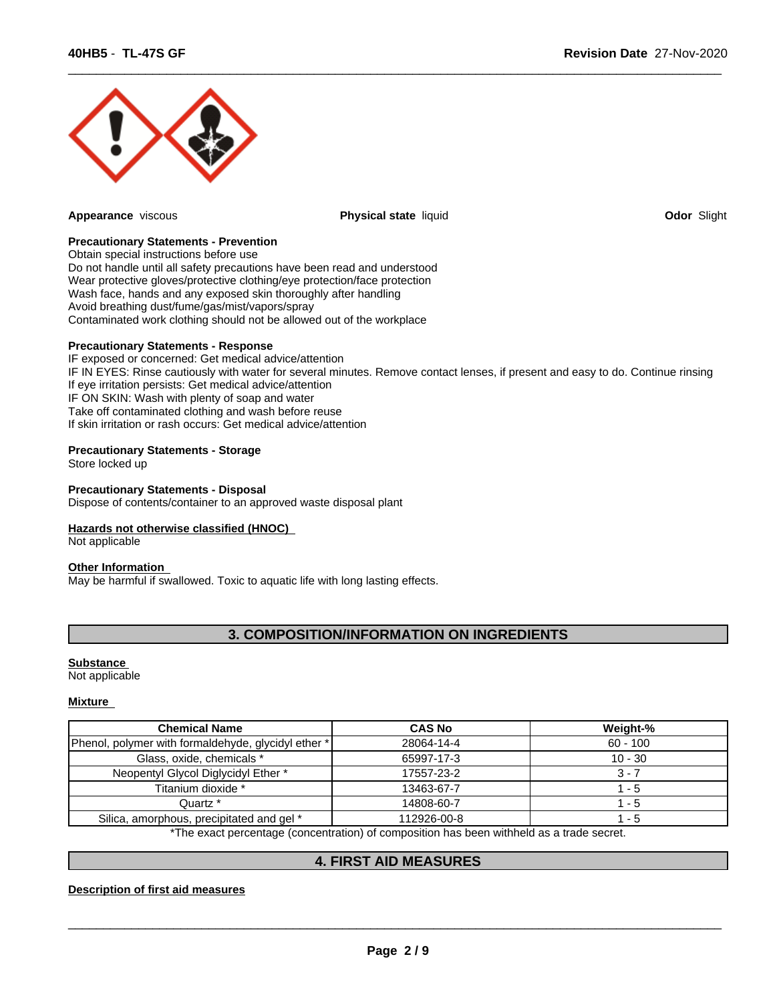

**Appearance** viscous **Physical state** liquid **Odor** Slight

 $\overline{\phantom{a}}$  ,  $\overline{\phantom{a}}$  ,  $\overline{\phantom{a}}$  ,  $\overline{\phantom{a}}$  ,  $\overline{\phantom{a}}$  ,  $\overline{\phantom{a}}$  ,  $\overline{\phantom{a}}$  ,  $\overline{\phantom{a}}$  ,  $\overline{\phantom{a}}$  ,  $\overline{\phantom{a}}$  ,  $\overline{\phantom{a}}$  ,  $\overline{\phantom{a}}$  ,  $\overline{\phantom{a}}$  ,  $\overline{\phantom{a}}$  ,  $\overline{\phantom{a}}$  ,  $\overline{\phantom{a}}$ 

### **Precautionary Statements - Prevention**

Obtain special instructions before use Do not handle until all safety precautions have been read and understood Wear protective gloves/protective clothing/eye protection/face protection Wash face, hands and any exposed skin thoroughly after handling Avoid breathing dust/fume/gas/mist/vapors/spray Contaminated work clothing should not be allowed out of the workplace

### **Precautionary Statements - Response**

IF exposed or concerned: Get medical advice/attention IF IN EYES: Rinse cautiously with water for several minutes. Remove contact lenses, if present and easy to do. Continue rinsing If eye irritation persists: Get medical advice/attention IF ON SKIN: Wash with plenty of soap and water Take off contaminated clothing and wash before reuse If skin irritation or rash occurs: Get medical advice/attention

### **Precautionary Statements - Storage**

Store locked up

### **Precautionary Statements - Disposal**

Dispose of contents/container to an approved waste disposal plant

### **Hazards not otherwise classified (HNOC)**

Not applicable

### **Other Information**

May be harmful if swallowed. Toxic to aquatic life with long lasting effects.

# **3. COMPOSITION/INFORMATION ON INGREDIENTS**

### **Substance**

Not applicable

### **Mixture**

| <b>Chemical Name</b>                                | <b>CAS No</b>                                                                            | Weight-%   |
|-----------------------------------------------------|------------------------------------------------------------------------------------------|------------|
| Phenol, polymer with formaldehyde, glycidyl ether * | 28064-14-4                                                                               | $60 - 100$ |
| Glass, oxide, chemicals *                           | 65997-17-3                                                                               | $10 - 30$  |
| Neopentyl Glycol Diglycidyl Ether *                 | 17557-23-2                                                                               | 3 - 7      |
| Titanium dioxide *                                  | 13463-67-7                                                                               | - 5        |
| Quartz *                                            | 14808-60-7                                                                               | 1 - 5      |
| Silica, amorphous, precipitated and gel *           | 112926-00-8                                                                              | $-5$       |
|                                                     | *The exact perceptage (conceptration) of composition has been withheld as a trade secret |            |

:t percentage (concentration) of composition has been withheld as a trade secret.

## **4. FIRST AID MEASURES**

### **Description of first aid measures**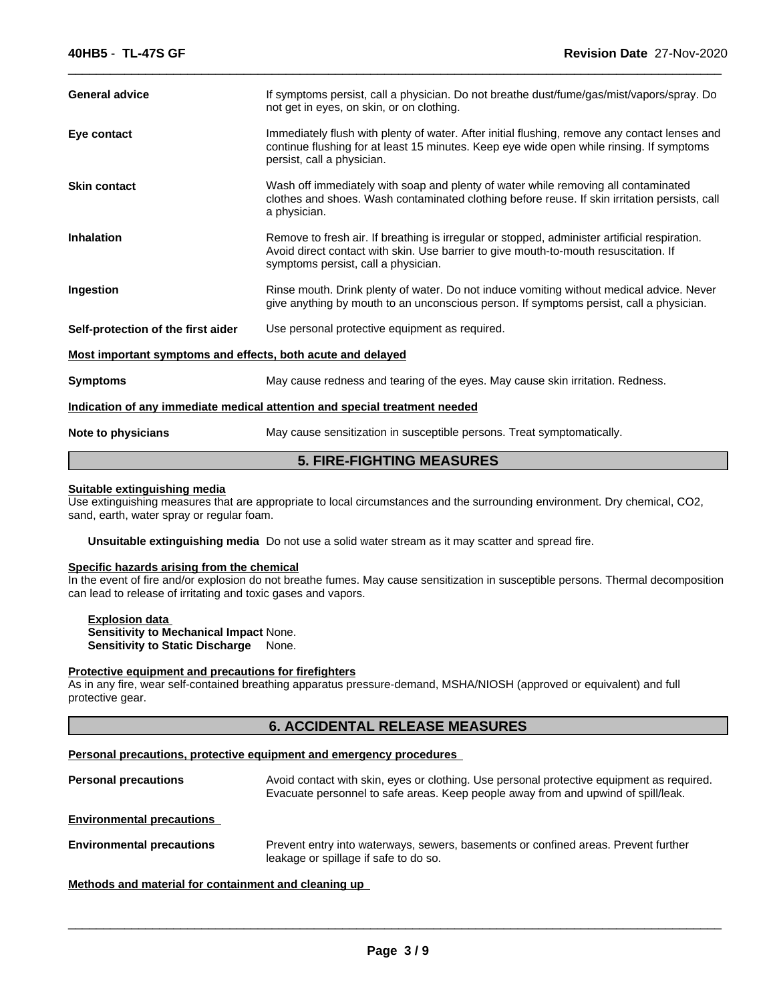| <b>5. FIRE-FIGHTING MEASURES</b>                                           |                                                                                                                                                                                                                              |  |  |
|----------------------------------------------------------------------------|------------------------------------------------------------------------------------------------------------------------------------------------------------------------------------------------------------------------------|--|--|
| Note to physicians                                                         | May cause sensitization in susceptible persons. Treat symptomatically.                                                                                                                                                       |  |  |
| Indication of any immediate medical attention and special treatment needed |                                                                                                                                                                                                                              |  |  |
| <b>Symptoms</b>                                                            | May cause redness and tearing of the eyes. May cause skin irritation. Redness.                                                                                                                                               |  |  |
| Most important symptoms and effects, both acute and delayed                |                                                                                                                                                                                                                              |  |  |
| Self-protection of the first aider                                         | Use personal protective equipment as required.                                                                                                                                                                               |  |  |
| Ingestion                                                                  | Rinse mouth. Drink plenty of water. Do not induce vomiting without medical advice. Never<br>give anything by mouth to an unconscious person. If symptoms persist, call a physician.                                          |  |  |
| <b>Inhalation</b>                                                          | Remove to fresh air. If breathing is irregular or stopped, administer artificial respiration.<br>Avoid direct contact with skin. Use barrier to give mouth-to-mouth resuscitation. If<br>symptoms persist, call a physician. |  |  |
| <b>Skin contact</b>                                                        | Wash off immediately with soap and plenty of water while removing all contaminated<br>clothes and shoes. Wash contaminated clothing before reuse. If skin irritation persists, call<br>a physician.                          |  |  |
| Eye contact                                                                | Immediately flush with plenty of water. After initial flushing, remove any contact lenses and<br>continue flushing for at least 15 minutes. Keep eye wide open while rinsing. If symptoms<br>persist, call a physician.      |  |  |
| <b>General advice</b>                                                      | If symptoms persist, call a physician. Do not breathe dust/fume/gas/mist/vapors/spray. Do<br>not get in eyes, on skin, or on clothing.                                                                                       |  |  |
|                                                                            |                                                                                                                                                                                                                              |  |  |

### **Suitable extinguishing media**

Use extinguishing measures that are appropriate to local circumstances and the surrounding environment. Dry chemical, CO2, sand, earth, water spray or regular foam.

**Unsuitable extinguishing media** Do not use a solid water stream as it may scatter and spread fire.

### **Specific hazards arising from the chemical**

In the event of fire and/or explosion do not breathe fumes. May cause sensitization in susceptible persons. Thermal decomposition can lead to release of irritating and toxic gases and vapors.

**Explosion data Sensitivity to Mechanical Impact** None. **Sensitivity to Static Discharge** None.

### **Protective equipment and precautions for firefighters**

As in any fire, wear self-contained breathing apparatus pressure-demand, MSHA/NIOSH (approved or equivalent) and full protective gear.

# **6. ACCIDENTAL RELEASE MEASURES**

### **Personal precautions, protective equipment and emergency procedures**

| <b>Personal precautions</b>      | Avoid contact with skin, eyes or clothing. Use personal protective equipment as required.<br>Evacuate personnel to safe areas. Keep people away from and upwind of spill/leak. |
|----------------------------------|--------------------------------------------------------------------------------------------------------------------------------------------------------------------------------|
| <b>Environmental precautions</b> |                                                                                                                                                                                |

**Environmental precautions** Prevent entry into waterways, sewers, basements or confined areas. Prevent further leakage or spillage if safe to do so.

### **Methods and material for containment and cleaning up**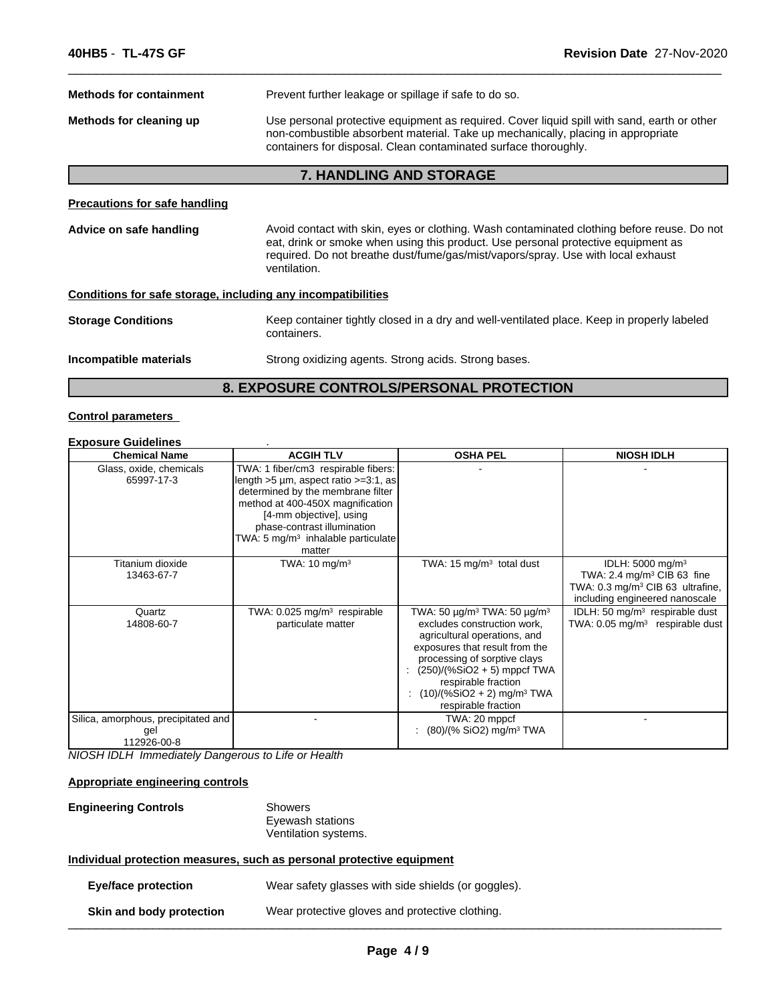| <b>Methods for containment</b>                               | Prevent further leakage or spillage if safe to do so.                                                                                                                                                                                                                               |  |
|--------------------------------------------------------------|-------------------------------------------------------------------------------------------------------------------------------------------------------------------------------------------------------------------------------------------------------------------------------------|--|
| Methods for cleaning up                                      | Use personal protective equipment as required. Cover liquid spill with sand, earth or other<br>non-combustible absorbent material. Take up mechanically, placing in appropriate<br>containers for disposal. Clean contaminated surface thoroughly.                                  |  |
|                                                              | <b>7. HANDLING AND STORAGE</b>                                                                                                                                                                                                                                                      |  |
| <b>Precautions for safe handling</b>                         |                                                                                                                                                                                                                                                                                     |  |
| Advice on safe handling                                      | Avoid contact with skin, eyes or clothing. Wash contaminated clothing before reuse. Do not<br>eat, drink or smoke when using this product. Use personal protective equipment as<br>required. Do not breathe dust/fume/gas/mist/vapors/spray. Use with local exhaust<br>ventilation. |  |
| Conditions for safe storage, including any incompatibilities |                                                                                                                                                                                                                                                                                     |  |
| <b>Storage Conditions</b>                                    | Keep container tightly closed in a dry and well-ventilated place. Keep in properly labeled<br>containers.                                                                                                                                                                           |  |
| Incompatible materials                                       | Strong oxidizing agents. Strong acids. Strong bases.                                                                                                                                                                                                                                |  |

# **8. EXPOSURE CONTROLS/PERSONAL PROTECTION**

# **Control parameters**

| <b>Exposure Guidelines</b>                                |                                                                                                                                                                                                                                                                            |                                                                                                                                                                                                                                                                                                                               |                                                                                                                                                          |
|-----------------------------------------------------------|----------------------------------------------------------------------------------------------------------------------------------------------------------------------------------------------------------------------------------------------------------------------------|-------------------------------------------------------------------------------------------------------------------------------------------------------------------------------------------------------------------------------------------------------------------------------------------------------------------------------|----------------------------------------------------------------------------------------------------------------------------------------------------------|
| <b>Chemical Name</b>                                      | <b>ACGIH TLV</b>                                                                                                                                                                                                                                                           | <b>OSHA PEL</b>                                                                                                                                                                                                                                                                                                               | <b>NIOSH IDLH</b>                                                                                                                                        |
| Glass, oxide, chemicals<br>65997-17-3                     | TWA: 1 fiber/cm3 respirable fibers:<br>length >5 µm, aspect ratio >=3:1, as<br>determined by the membrane filter<br>method at 400-450X magnification<br>[4-mm objective], using<br>phase-contrast illumination<br>TWA: 5 mg/m <sup>3</sup> inhalable particulate<br>matter |                                                                                                                                                                                                                                                                                                                               |                                                                                                                                                          |
| Titanium dioxide<br>13463-67-7                            | TWA: $10 \text{ mg/m}^3$                                                                                                                                                                                                                                                   | TWA: 15 $mg/m3$ total dust                                                                                                                                                                                                                                                                                                    | IDLH: 5000 mg/m <sup>3</sup><br>TWA: 2.4 mg/m <sup>3</sup> CIB 63 fine<br>TWA: 0.3 mg/m <sup>3</sup> CIB 63 ultrafine,<br>including engineered nanoscale |
| Quartz<br>14808-60-7                                      | TWA: $0.025$ mg/m <sup>3</sup> respirable<br>particulate matter                                                                                                                                                                                                            | TWA: 50 $\mu$ g/m <sup>3</sup> TWA: 50 $\mu$ g/m <sup>3</sup><br>excludes construction work,<br>agricultural operations, and<br>exposures that result from the<br>processing of sorptive clays<br>: $(250)/(%SiO2 + 5)$ mppcf TWA<br>respirable fraction<br>: $(10)/(%SiO2 + 2)$ mg/m <sup>3</sup> TWA<br>respirable fraction | IDLH: 50 mg/m <sup>3</sup> respirable dust<br>TWA: $0.05$ mg/m <sup>3</sup> respirable dust                                                              |
| Silica, amorphous, precipitated and<br>gel<br>112926-00-8 |                                                                                                                                                                                                                                                                            | TWA: 20 mppcf<br>: $(80)/(% SiO2)$ mg/m <sup>3</sup> TWA                                                                                                                                                                                                                                                                      |                                                                                                                                                          |

*NIOSH IDLH Immediately Dangerous to Life or Health*

# **Appropriate engineering controls**

| Showers              |
|----------------------|
| Eyewash stations     |
| Ventilation systems. |
|                      |

### **Individual protection measures, such as personal protective equipment**

| Eye/face protection      | Wear safety glasses with side shields (or goggles). |  |
|--------------------------|-----------------------------------------------------|--|
| Skin and body protection | Wear protective gloves and protective clothing.     |  |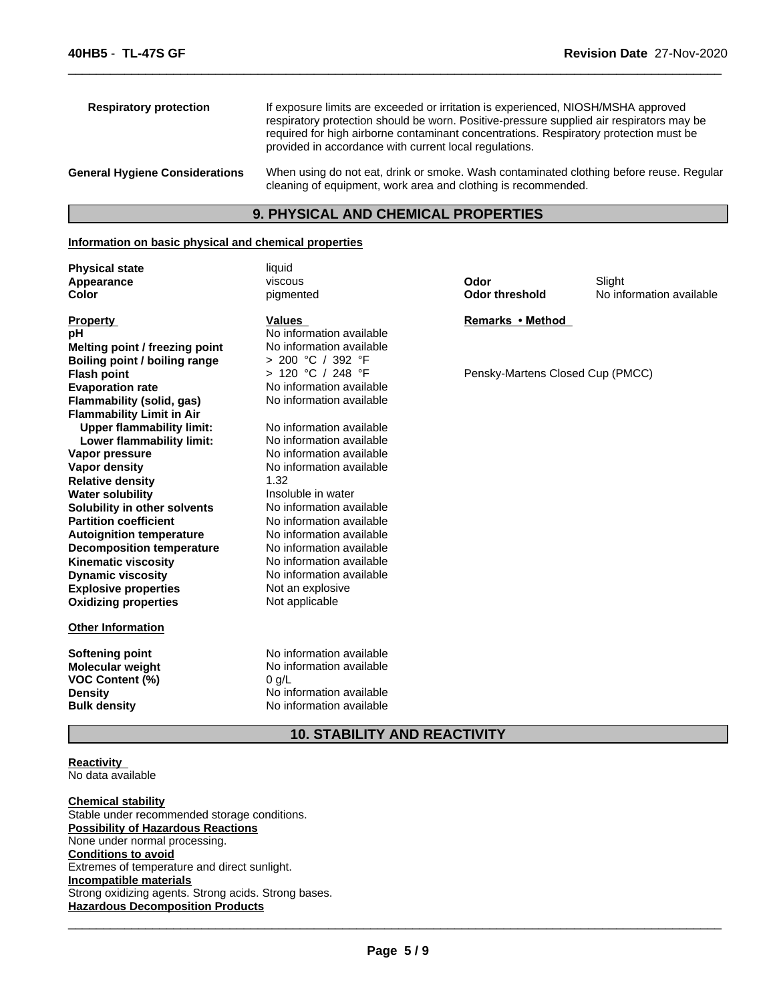| <b>Respiratory protection</b>         | If exposure limits are exceeded or irritation is experienced, NIOSH/MSHA approved<br>respiratory protection should be worn. Positive-pressure supplied air respirators may be<br>required for high airborne contaminant concentrations. Respiratory protection must be<br>provided in accordance with current local regulations. |
|---------------------------------------|----------------------------------------------------------------------------------------------------------------------------------------------------------------------------------------------------------------------------------------------------------------------------------------------------------------------------------|
| <b>General Hygiene Considerations</b> | When using do not eat, drink or smoke. Wash contaminated clothing before reuse. Regular<br>cleaning of equipment, work area and clothing is recommended.                                                                                                                                                                         |

# **9. PHYSICAL AND CHEMICAL PROPERTIES**

### **Information on basic physical and chemical properties**

| <b>Physical state</b>            | liquid                   |                                  |                          |
|----------------------------------|--------------------------|----------------------------------|--------------------------|
| Appearance                       | viscous                  | Odor                             | Slight                   |
| Color                            | pigmented                | <b>Odor threshold</b>            | No information available |
| <b>Property</b>                  | <b>Values</b>            | Remarks • Method                 |                          |
| рH                               | No information available |                                  |                          |
| Melting point / freezing point   | No information available |                                  |                          |
| Boiling point / boiling range    | > 200 °C / 392 °F        |                                  |                          |
| <b>Flash point</b>               | > 120 °C / 248 °F        | Pensky-Martens Closed Cup (PMCC) |                          |
| <b>Evaporation rate</b>          | No information available |                                  |                          |
| Flammability (solid, gas)        | No information available |                                  |                          |
| <b>Flammability Limit in Air</b> |                          |                                  |                          |
| <b>Upper flammability limit:</b> | No information available |                                  |                          |
| Lower flammability limit:        | No information available |                                  |                          |
| Vapor pressure                   | No information available |                                  |                          |
| Vapor density                    | No information available |                                  |                          |
| <b>Relative density</b>          | 1.32                     |                                  |                          |
| <b>Water solubility</b>          | Insoluble in water       |                                  |                          |
| Solubility in other solvents     | No information available |                                  |                          |
| <b>Partition coefficient</b>     | No information available |                                  |                          |
| <b>Autoignition temperature</b>  | No information available |                                  |                          |
| <b>Decomposition temperature</b> | No information available |                                  |                          |
| <b>Kinematic viscosity</b>       | No information available |                                  |                          |
| <b>Dynamic viscosity</b>         | No information available |                                  |                          |
| <b>Explosive properties</b>      | Not an explosive         |                                  |                          |
| <b>Oxidizing properties</b>      | Not applicable           |                                  |                          |
| <b>Other Information</b>         |                          |                                  |                          |
| Softening point                  | No information available |                                  |                          |
| Molecular weight                 | No information available |                                  |                          |
| <b>VOC Content (%)</b>           | $0$ g/L                  |                                  |                          |
| <b>Density</b>                   | No information available |                                  |                          |
| <b>Bulk density</b>              | No information available |                                  |                          |
|                                  |                          |                                  |                          |

# **10. STABILITY AND REACTIVITY**

**Reactivity**  No data available

**Chemical stability** Stable under recommended storage conditions. **Possibility of Hazardous Reactions** None under normal processing. **Conditions to avoid** Extremes of temperature and direct sunlight. **Incompatible materials** Strong oxidizing agents. Strong acids. Strong bases. **Hazardous Decomposition Products**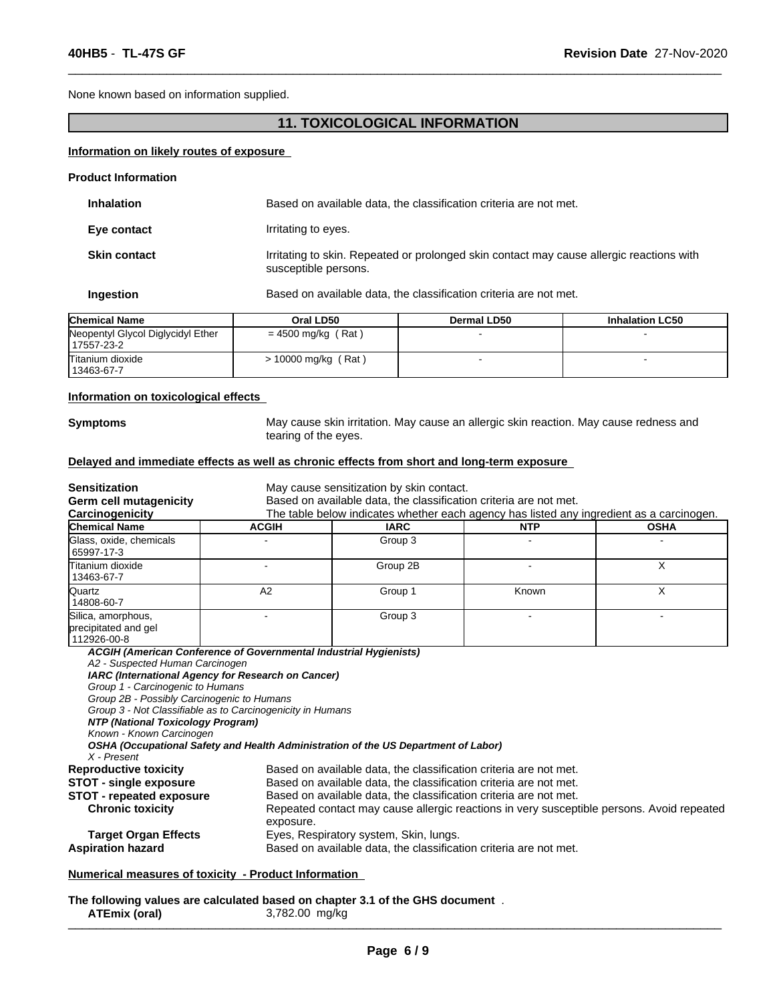None known based on information supplied.

# **11. TOXICOLOGICAL INFORMATION**

 $\overline{\phantom{a}}$  ,  $\overline{\phantom{a}}$  ,  $\overline{\phantom{a}}$  ,  $\overline{\phantom{a}}$  ,  $\overline{\phantom{a}}$  ,  $\overline{\phantom{a}}$  ,  $\overline{\phantom{a}}$  ,  $\overline{\phantom{a}}$  ,  $\overline{\phantom{a}}$  ,  $\overline{\phantom{a}}$  ,  $\overline{\phantom{a}}$  ,  $\overline{\phantom{a}}$  ,  $\overline{\phantom{a}}$  ,  $\overline{\phantom{a}}$  ,  $\overline{\phantom{a}}$  ,  $\overline{\phantom{a}}$ 

## **Information on likely routes of exposure**

| <b>Product Information</b> |                                                                                                                  |  |  |
|----------------------------|------------------------------------------------------------------------------------------------------------------|--|--|
| <b>Inhalation</b>          | Based on available data, the classification criteria are not met.                                                |  |  |
| Eye contact                | Irritating to eyes.                                                                                              |  |  |
| <b>Skin contact</b>        | Irritating to skin. Repeated or prolonged skin contact may cause allergic reactions with<br>susceptible persons. |  |  |
| Ingestion                  | Based on available data, the classification criteria are not met.                                                |  |  |
|                            |                                                                                                                  |  |  |

| <b>Chemical Name</b>                            | Oral LD50            | <b>Dermal LD50</b> | <b>Inhalation LC50</b> |
|-------------------------------------------------|----------------------|--------------------|------------------------|
| Neopentyl Glycol Diglycidyl Ether<br>17557-23-2 | $= 4500$ mg/kg (Rat) |                    |                        |
| Titanium dioxide<br>13463-67-7                  | > 10000 mg/kg (Rat)  |                    |                        |

### **Information on toxicological effects**

**Symptoms** May cause skin irritation. May cause an allergic skin reaction. May cause redness and tearing of the eyes.

### **Delayed and immediate effects as well as chronic effects from short and long-term exposure**

| <b>Sensitization</b>                                                                                                                                                                              |                                                                                                                                                                                                        | May cause sensitization by skin contact.                                                                                                                                                                                                                                                                 |            |             |  |
|---------------------------------------------------------------------------------------------------------------------------------------------------------------------------------------------------|--------------------------------------------------------------------------------------------------------------------------------------------------------------------------------------------------------|----------------------------------------------------------------------------------------------------------------------------------------------------------------------------------------------------------------------------------------------------------------------------------------------------------|------------|-------------|--|
| <b>Germ cell mutagenicity</b>                                                                                                                                                                     | Based on available data, the classification criteria are not met.                                                                                                                                      |                                                                                                                                                                                                                                                                                                          |            |             |  |
| Carcinogenicity                                                                                                                                                                                   |                                                                                                                                                                                                        | The table below indicates whether each agency has listed any ingredient as a carcinogen.                                                                                                                                                                                                                 |            |             |  |
| <b>Chemical Name</b>                                                                                                                                                                              | <b>ACGIH</b>                                                                                                                                                                                           | <b>IARC</b>                                                                                                                                                                                                                                                                                              | <b>NTP</b> | <b>OSHA</b> |  |
| Glass, oxide, chemicals<br>65997-17-3                                                                                                                                                             |                                                                                                                                                                                                        | Group 3                                                                                                                                                                                                                                                                                                  |            |             |  |
| <b>T</b> itanium dioxide<br>13463-67-7                                                                                                                                                            |                                                                                                                                                                                                        | Group 2B                                                                                                                                                                                                                                                                                                 |            | X           |  |
| <b>Quartz</b><br>14808-60-7                                                                                                                                                                       | A2                                                                                                                                                                                                     | Group 1                                                                                                                                                                                                                                                                                                  | Known      | X           |  |
| Silica, amorphous,<br>precipitated and gel<br>112926-00-8                                                                                                                                         |                                                                                                                                                                                                        | Group 3                                                                                                                                                                                                                                                                                                  |            |             |  |
| A2 - Suspected Human Carcinogen<br>Group 1 - Carcinogenic to Humans<br>Group 2B - Possibly Carcinogenic to Humans<br>NTP (National Toxicology Program)<br>Known - Known Carcinogen<br>X - Present | IARC (International Agency for Research on Cancer)<br>Group 3 - Not Classifiable as to Carcinogenicity in Humans<br>OSHA (Occupational Safety and Health Administration of the US Department of Labor) |                                                                                                                                                                                                                                                                                                          |            |             |  |
| <b>Reproductive toxicity</b><br><b>STOT - single exposure</b><br><b>STOT - repeated exposure</b><br><b>Chronic toxicity</b>                                                                       | exposure.                                                                                                                                                                                              | Based on available data, the classification criteria are not met.<br>Based on available data, the classification criteria are not met.<br>Based on available data, the classification criteria are not met.<br>Repeated contact may cause allergic reactions in very susceptible persons. Avoid repeated |            |             |  |
| <b>Target Organ Effects</b>                                                                                                                                                                       | Eyes, Respiratory system, Skin, lungs.<br>Based on available data, the classification criteria are not met.                                                                                            |                                                                                                                                                                                                                                                                                                          |            |             |  |

**The following values are calculated based on chapter 3.1 of the GHS document** . **ATEmix (oral)** 3,782.00 mg/kg \_\_\_\_\_\_\_\_\_\_\_\_\_\_\_\_\_\_\_\_\_\_\_\_\_\_\_\_\_\_\_\_\_\_\_\_\_\_\_\_\_\_\_\_\_\_\_\_\_\_\_\_\_\_\_\_\_\_\_\_\_\_\_\_\_\_\_\_\_\_\_\_\_\_\_\_\_\_\_\_\_\_\_\_\_\_\_\_\_\_\_\_\_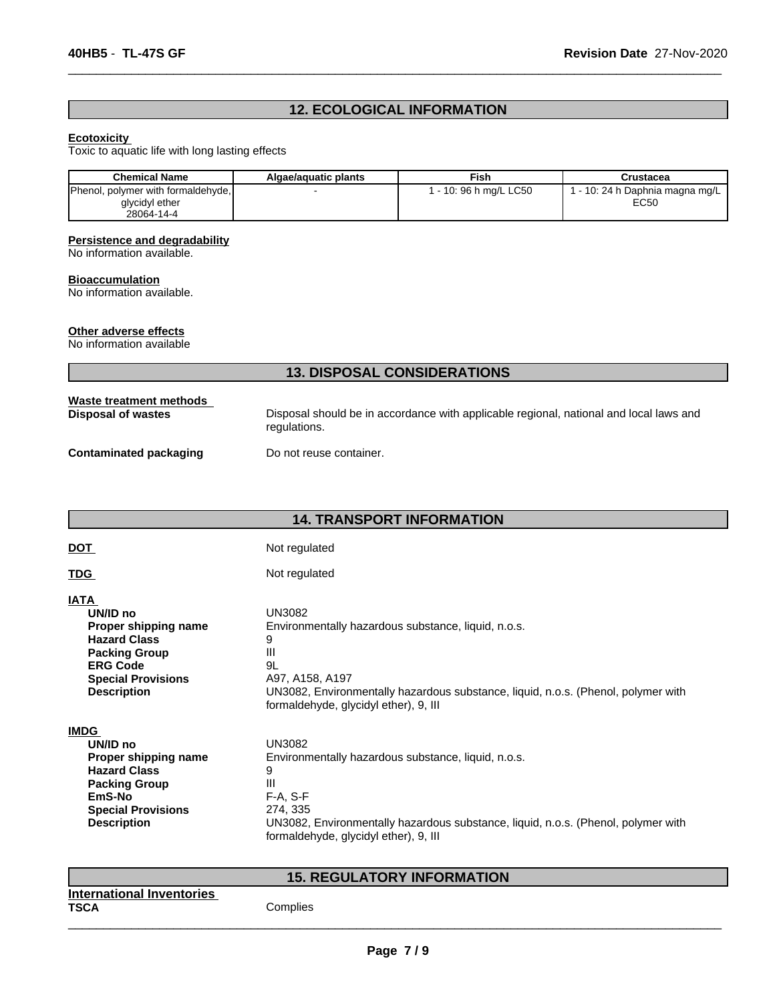# **12. ECOLOGICAL INFORMATION**

 $\overline{\phantom{a}}$  ,  $\overline{\phantom{a}}$  ,  $\overline{\phantom{a}}$  ,  $\overline{\phantom{a}}$  ,  $\overline{\phantom{a}}$  ,  $\overline{\phantom{a}}$  ,  $\overline{\phantom{a}}$  ,  $\overline{\phantom{a}}$  ,  $\overline{\phantom{a}}$  ,  $\overline{\phantom{a}}$  ,  $\overline{\phantom{a}}$  ,  $\overline{\phantom{a}}$  ,  $\overline{\phantom{a}}$  ,  $\overline{\phantom{a}}$  ,  $\overline{\phantom{a}}$  ,  $\overline{\phantom{a}}$ 

### **Ecotoxicity**

Toxic to aquatic life with long lasting effects

| <b>Chemical Name</b>               | Algae/aguatic plants | Fish                   | Crustacea                         |
|------------------------------------|----------------------|------------------------|-----------------------------------|
| Phenol, polymer with formaldehyde, |                      | 1 - 10: 96 h mg/L LC50 | r - 10: 24 h Daphnia magna mg/L + |
| glycidyl ether                     |                      |                        | EC50                              |
| 28064-14-4                         |                      |                        |                                   |

### **Persistence and degradability**

No information available.

### **Bioaccumulation**

No information available.

### **Other adverse effects**

No information available

|                                               | <b>13. DISPOSAL CONSIDERATIONS</b>                                                                     |
|-----------------------------------------------|--------------------------------------------------------------------------------------------------------|
| Waste treatment methods<br>Disposal of wastes | Disposal should be in accordance with applicable regional, national and local laws and<br>regulations. |
| Contaminated packaging                        | Do not reuse container.                                                                                |

# **14. TRANSPORT INFORMATION**

| <u>DOT</u>                | Not regulated                                                                     |
|---------------------------|-----------------------------------------------------------------------------------|
| <u>TDG</u>                | Not regulated                                                                     |
| IATA                      | <b>UN3082</b>                                                                     |
| UN/ID no                  | Environmentally hazardous substance, liquid, n.o.s.                               |
| Proper shipping name      | 9                                                                                 |
| <b>Hazard Class</b>       | III                                                                               |
| <b>Packing Group</b>      | 9L                                                                                |
| <b>ERG Code</b>           | A97, A158, A197                                                                   |
| <b>Special Provisions</b> | UN3082, Environmentally hazardous substance, liquid, n.o.s. (Phenol, polymer with |
| <b>Description</b>        | formaldehyde, glycidyl ether), 9, III                                             |
| <b>IMDG</b>               | <b>UN3082</b>                                                                     |
| UN/ID no                  | Environmentally hazardous substance, liquid, n.o.s.                               |
| Proper shipping name      | 9                                                                                 |
| <b>Hazard Class</b>       | III                                                                               |
| <b>Packing Group</b>      | $F-A, S-F$                                                                        |
| EmS-No                    | 274, 335                                                                          |
| <b>Special Provisions</b> | UN3082, Environmentally hazardous substance, liquid, n.o.s. (Phenol, polymer with |
| <b>Description</b>        | formaldehyde, glycidyl ether), 9, III                                             |

# **15. REGULATORY INFORMATION**

| International Inventories<br><b>TSCA</b><br>___ | Complies |
|-------------------------------------------------|----------|
|                                                 |          |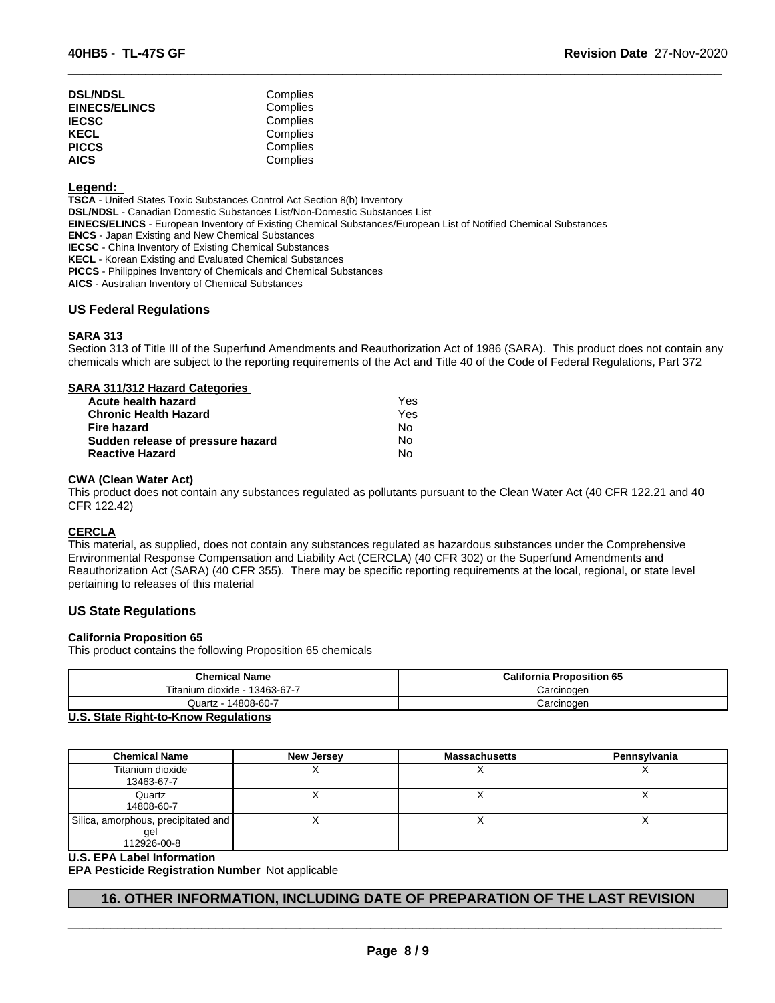| <b>DSL/NDSL</b>      | Complies |
|----------------------|----------|
| <b>EINECS/ELINCS</b> | Complies |
| <b>IECSC</b>         | Complies |
| KECL                 | Complies |
| <b>PICCS</b>         | Complies |
| <b>AICS</b>          | Complies |

### **Legend:**

**TSCA** - United States Toxic Substances Control Act Section 8(b) Inventory **DSL/NDSL** - Canadian Domestic Substances List/Non-Domestic Substances List **EINECS/ELINCS** - European Inventory of Existing Chemical Substances/European List of Notified Chemical Substances **ENCS** - Japan Existing and New Chemical Substances **IECSC** - China Inventory of Existing Chemical Substances **KECL** - Korean Existing and Evaluated Chemical Substances **PICCS** - Philippines Inventory of Chemicals and Chemical Substances

**AICS** - Australian Inventory of Chemical Substances

## **US Federal Regulations**

### **SARA 313**

Section 313 of Title III of the Superfund Amendments and Reauthorization Act of 1986 (SARA). This product does not contain any chemicals which are subject to the reporting requirements of the Act and Title 40 of the Code of Federal Regulations, Part 372

 $\overline{\phantom{a}}$  ,  $\overline{\phantom{a}}$  ,  $\overline{\phantom{a}}$  ,  $\overline{\phantom{a}}$  ,  $\overline{\phantom{a}}$  ,  $\overline{\phantom{a}}$  ,  $\overline{\phantom{a}}$  ,  $\overline{\phantom{a}}$  ,  $\overline{\phantom{a}}$  ,  $\overline{\phantom{a}}$  ,  $\overline{\phantom{a}}$  ,  $\overline{\phantom{a}}$  ,  $\overline{\phantom{a}}$  ,  $\overline{\phantom{a}}$  ,  $\overline{\phantom{a}}$  ,  $\overline{\phantom{a}}$ 

| SARA 311/312 Hazard Categories    |     |  |
|-----------------------------------|-----|--|
| Acute health hazard               | Yes |  |
| <b>Chronic Health Hazard</b>      | Yes |  |
| <b>Fire hazard</b>                | No  |  |
| Sudden release of pressure hazard | No  |  |
| <b>Reactive Hazard</b>            | No  |  |

### **CWA (Clean Water Act)**

This product does not contain any substances regulated as pollutants pursuant to the Clean Water Act (40 CFR 122.21 and 40 CFR 122.42)

### **CERCLA**

This material, as supplied, does not contain any substances regulated as hazardous substances under the Comprehensive Environmental Response Compensation and Liability Act (CERCLA) (40 CFR 302) or the Superfund Amendments and Reauthorization Act (SARA) (40 CFR 355). There may be specific reporting requirements at the local, regional, or state level pertaining to releases of this material

### **US State Regulations**

### **California Proposition 65**

This product contains the following Proposition 65 chemicals

| <b>Chemical Name</b>                 | <b>California Proposition 65</b> |
|--------------------------------------|----------------------------------|
| Titanium<br>13463-67-7<br>⊢dioxide - | Carcinoɑen                       |
| 14808-60-7<br>Juartz - $\gamma$      | Carcinogen                       |

### **U.S. State Right-to-Know Regulations**

| <b>Chemical Name</b>                                      | New Jersey | <b>Massachusetts</b> | Pennsylvania |
|-----------------------------------------------------------|------------|----------------------|--------------|
| Titanium dioxide<br>13463-67-7                            |            |                      |              |
| Quartz<br>14808-60-7                                      |            |                      | $\lambda$    |
| Silica, amorphous, precipitated and<br>gel<br>112926-00-8 |            |                      |              |

### **U.S. EPA Label Information**

**EPA Pesticide Registration Number** Not applicable

# **16. OTHER INFORMATION, INCLUDING DATE OF PREPARATION OF THE LAST REVISION**